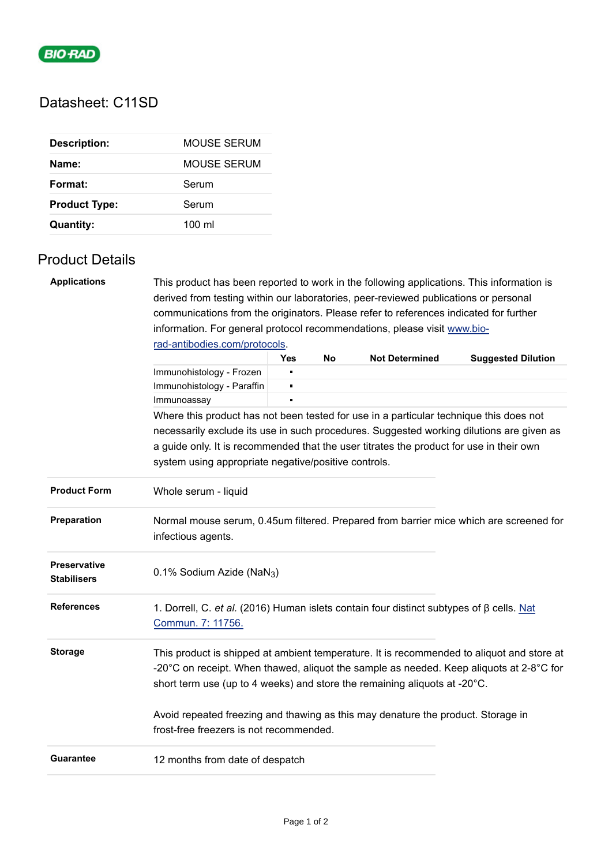

## Datasheet: C11SD

| <b>Description:</b>  | MOUSE SERUM      |  |  |
|----------------------|------------------|--|--|
| Name:                | MOUSE SERUM      |  |  |
| Format:              | Serum            |  |  |
| <b>Product Type:</b> | Serum            |  |  |
| <b>Quantity:</b>     | $100 \mathrm{m}$ |  |  |

## Product Details

| <b>Applications</b>                                                                    | This product has been reported to work in the following applications. This information is                                                                                                                                                                                               |            |    |                       |                           |  |  |  |
|----------------------------------------------------------------------------------------|-----------------------------------------------------------------------------------------------------------------------------------------------------------------------------------------------------------------------------------------------------------------------------------------|------------|----|-----------------------|---------------------------|--|--|--|
|                                                                                        | derived from testing within our laboratories, peer-reviewed publications or personal                                                                                                                                                                                                    |            |    |                       |                           |  |  |  |
|                                                                                        | communications from the originators. Please refer to references indicated for further                                                                                                                                                                                                   |            |    |                       |                           |  |  |  |
|                                                                                        | information. For general protocol recommendations, please visit www.bio-                                                                                                                                                                                                                |            |    |                       |                           |  |  |  |
|                                                                                        | rad-antibodies.com/protocols.                                                                                                                                                                                                                                                           |            |    |                       |                           |  |  |  |
|                                                                                        |                                                                                                                                                                                                                                                                                         | <b>Yes</b> | No | <b>Not Determined</b> | <b>Suggested Dilution</b> |  |  |  |
|                                                                                        | Immunohistology - Frozen                                                                                                                                                                                                                                                                |            |    |                       |                           |  |  |  |
|                                                                                        | Immunohistology - Paraffin                                                                                                                                                                                                                                                              | Е          |    |                       |                           |  |  |  |
|                                                                                        | Immunoassay                                                                                                                                                                                                                                                                             |            |    |                       |                           |  |  |  |
| Where this product has not been tested for use in a particular technique this does not |                                                                                                                                                                                                                                                                                         |            |    |                       |                           |  |  |  |
|                                                                                        | necessarily exclude its use in such procedures. Suggested working dilutions are given as                                                                                                                                                                                                |            |    |                       |                           |  |  |  |
|                                                                                        | a guide only. It is recommended that the user titrates the product for use in their own                                                                                                                                                                                                 |            |    |                       |                           |  |  |  |
|                                                                                        | system using appropriate negative/positive controls.                                                                                                                                                                                                                                    |            |    |                       |                           |  |  |  |
|                                                                                        |                                                                                                                                                                                                                                                                                         |            |    |                       |                           |  |  |  |
| <b>Product Form</b>                                                                    | Whole serum - liquid                                                                                                                                                                                                                                                                    |            |    |                       |                           |  |  |  |
| Preparation                                                                            | Normal mouse serum, 0.45um filtered. Prepared from barrier mice which are screened for<br>infectious agents.                                                                                                                                                                            |            |    |                       |                           |  |  |  |
| <b>Preservative</b><br><b>Stabilisers</b>                                              | 0.1% Sodium Azide (NaN <sub>3</sub> )                                                                                                                                                                                                                                                   |            |    |                       |                           |  |  |  |
| <b>References</b>                                                                      | 1. Dorrell, C. et al. (2016) Human islets contain four distinct subtypes of $\beta$ cells. Nat<br>Commun. 7: 11756.                                                                                                                                                                     |            |    |                       |                           |  |  |  |
| <b>Storage</b>                                                                         | This product is shipped at ambient temperature. It is recommended to aliquot and store at<br>-20 $^{\circ}$ C on receipt. When thawed, aliquot the sample as needed. Keep aliquots at 2-8 $^{\circ}$ C for<br>short term use (up to 4 weeks) and store the remaining aliquots at -20°C. |            |    |                       |                           |  |  |  |
|                                                                                        | Avoid repeated freezing and thawing as this may denature the product. Storage in<br>frost-free freezers is not recommended.                                                                                                                                                             |            |    |                       |                           |  |  |  |
| <b>Guarantee</b>                                                                       | 12 months from date of despatch                                                                                                                                                                                                                                                         |            |    |                       |                           |  |  |  |